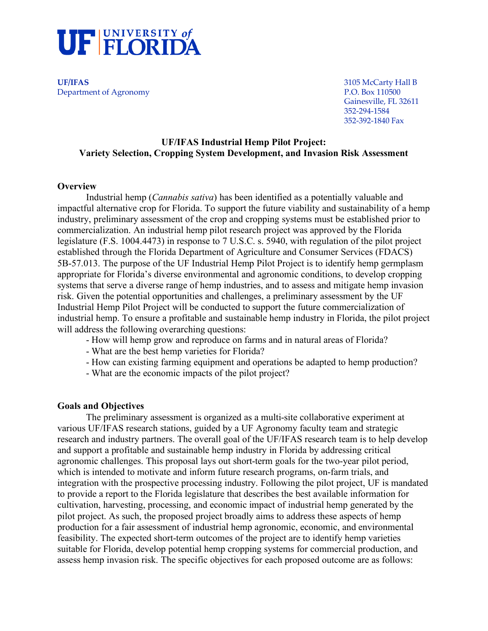

**UF/IFAS** 3105 McCarty Hall B Department of Agronomy

Gainesville, FL 32611 352-294-1584 352-392-1840 Fax

#### **UF/IFAS Industrial Hemp Pilot Project: Variety Selection, Cropping System Development, and Invasion Risk Assessment**

#### **Overview**

Industrial hemp (*Cannabis sativa*) has been identified as a potentially valuable and impactful alternative crop for Florida. To support the future viability and sustainability of a hemp industry, preliminary assessment of the crop and cropping systems must be established prior to commercialization. An industrial hemp pilot research project was approved by the Florida legislature (F.S. 1004.4473) in response to 7 U.S.C. s. 5940, with regulation of the pilot project established through the Florida Department of Agriculture and Consumer Services (FDACS) 5B-57.013. The purpose of the UF Industrial Hemp Pilot Project is to identify hemp germplasm appropriate for Florida's diverse environmental and agronomic conditions, to develop cropping systems that serve a diverse range of hemp industries, and to assess and mitigate hemp invasion risk. Given the potential opportunities and challenges, a preliminary assessment by the UF Industrial Hemp Pilot Project will be conducted to support the future commercialization of industrial hemp. To ensure a profitable and sustainable hemp industry in Florida, the pilot project will address the following overarching questions:

- How will hemp grow and reproduce on farms and in natural areas of Florida?
- What are the best hemp varieties for Florida?
- How can existing farming equipment and operations be adapted to hemp production?
- What are the economic impacts of the pilot project?

#### **Goals and Objectives**

The preliminary assessment is organized as a multi-site collaborative experiment at various UF/IFAS research stations, guided by a UF Agronomy faculty team and strategic research and industry partners. The overall goal of the UF/IFAS research team is to help develop and support a profitable and sustainable hemp industry in Florida by addressing critical agronomic challenges. This proposal lays out short-term goals for the two-year pilot period, which is intended to motivate and inform future research programs, on-farm trials, and integration with the prospective processing industry. Following the pilot project, UF is mandated to provide a report to the Florida legislature that describes the best available information for cultivation, harvesting, processing, and economic impact of industrial hemp generated by the pilot project. As such, the proposed project broadly aims to address these aspects of hemp production for a fair assessment of industrial hemp agronomic, economic, and environmental feasibility. The expected short-term outcomes of the project are to identify hemp varieties suitable for Florida, develop potential hemp cropping systems for commercial production, and assess hemp invasion risk. The specific objectives for each proposed outcome are as follows: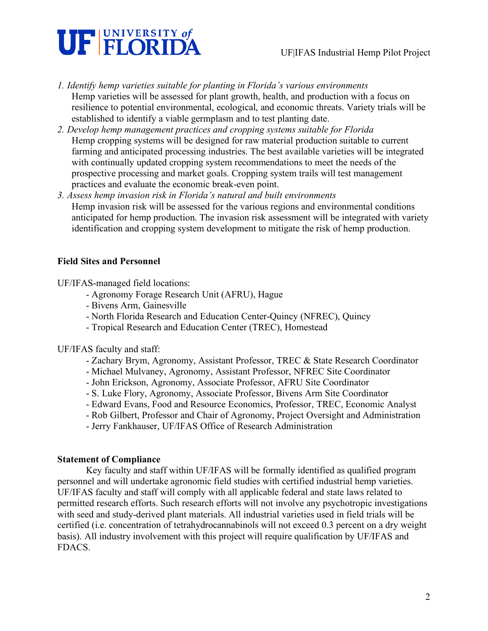

- *1. Identify hemp varieties suitable for planting in Florida's various environments* Hemp varieties will be assessed for plant growth, health, and production with a focus on resilience to potential environmental, ecological, and economic threats. Variety trials will be established to identify a viable germplasm and to test planting date.
- *2. Develop hemp management practices and cropping systems suitable for Florida* Hemp cropping systems will be designed for raw material production suitable to current farming and anticipated processing industries. The best available varieties will be integrated with continually updated cropping system recommendations to meet the needs of the prospective processing and market goals. Cropping system trails will test management practices and evaluate the economic break-even point.
- *3. Assess hemp invasion risk in Florida's natural and built environments* Hemp invasion risk will be assessed for the various regions and environmental conditions anticipated for hemp production. The invasion risk assessment will be integrated with variety identification and cropping system development to mitigate the risk of hemp production.

## **Field Sites and Personnel**

UF/IFAS-managed field locations:

- Agronomy Forage Research Unit (AFRU), Hague
- Bivens Arm, Gainesville
- North Florida Research and Education Center-Quincy (NFREC), Quincy
- Tropical Research and Education Center (TREC), Homestead

UF/IFAS faculty and staff:

- Zachary Brym, Agronomy, Assistant Professor, TREC & State Research Coordinator
- Michael Mulvaney, Agronomy, Assistant Professor, NFREC Site Coordinator
- John Erickson, Agronomy, Associate Professor, AFRU Site Coordinator
- S. Luke Flory, Agronomy, Associate Professor, Bivens Arm Site Coordinator
- Edward Evans, Food and Resource Economics, Professor, TREC, Economic Analyst
- Rob Gilbert, Professor and Chair of Agronomy, Project Oversight and Administration
- Jerry Fankhauser, UF/IFAS Office of Research Administration

#### **Statement of Compliance**

Key faculty and staff within UF/IFAS will be formally identified as qualified program personnel and will undertake agronomic field studies with certified industrial hemp varieties. UF/IFAS faculty and staff will comply with all applicable federal and state laws related to permitted research efforts. Such research efforts will not involve any psychotropic investigations with seed and study-derived plant materials. All industrial varieties used in field trials will be certified (i.e. concentration of tetrahydrocannabinols will not exceed 0.3 percent on a dry weight basis). All industry involvement with this project will require qualification by UF/IFAS and FDACS.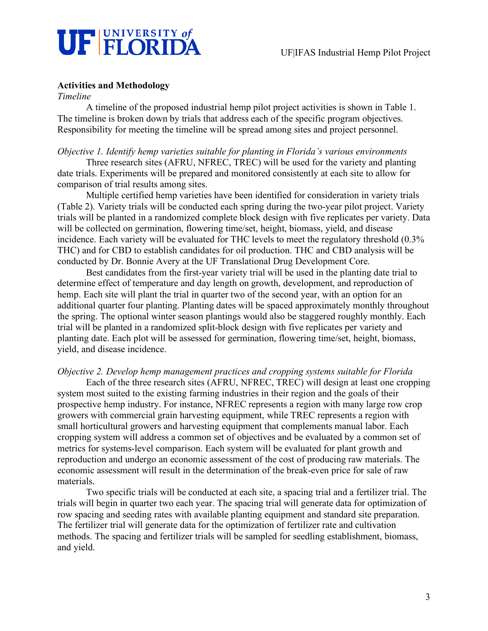

## **Activities and Methodology**

*Timeline*

A timeline of the proposed industrial hemp pilot project activities is shown in Table 1. The timeline is broken down by trials that address each of the specific program objectives. Responsibility for meeting the timeline will be spread among sites and project personnel.

#### *Objective 1. Identify hemp varieties suitable for planting in Florida's various environments*

Three research sites (AFRU, NFREC, TREC) will be used for the variety and planting date trials. Experiments will be prepared and monitored consistently at each site to allow for comparison of trial results among sites.

Multiple certified hemp varieties have been identified for consideration in variety trials (Table 2). Variety trials will be conducted each spring during the two-year pilot project. Variety trials will be planted in a randomized complete block design with five replicates per variety. Data will be collected on germination, flowering time/set, height, biomass, yield, and disease incidence. Each variety will be evaluated for THC levels to meet the regulatory threshold (0.3% THC) and for CBD to establish candidates for oil production. THC and CBD analysis will be conducted by Dr. Bonnie Avery at the UF Translational Drug Development Core.

Best candidates from the first-year variety trial will be used in the planting date trial to determine effect of temperature and day length on growth, development, and reproduction of hemp. Each site will plant the trial in quarter two of the second year, with an option for an additional quarter four planting. Planting dates will be spaced approximately monthly throughout the spring. The optional winter season plantings would also be staggered roughly monthly. Each trial will be planted in a randomized split-block design with five replicates per variety and planting date. Each plot will be assessed for germination, flowering time/set, height, biomass, yield, and disease incidence.

#### *Objective 2. Develop hemp management practices and cropping systems suitable for Florida*

Each of the three research sites (AFRU, NFREC, TREC) will design at least one cropping system most suited to the existing farming industries in their region and the goals of their prospective hemp industry. For instance, NFREC represents a region with many large row crop growers with commercial grain harvesting equipment, while TREC represents a region with small horticultural growers and harvesting equipment that complements manual labor. Each cropping system will address a common set of objectives and be evaluated by a common set of metrics for systems-level comparison. Each system will be evaluated for plant growth and reproduction and undergo an economic assessment of the cost of producing raw materials. The economic assessment will result in the determination of the break-even price for sale of raw materials.

Two specific trials will be conducted at each site, a spacing trial and a fertilizer trial. The trials will begin in quarter two each year. The spacing trial will generate data for optimization of row spacing and seeding rates with available planting equipment and standard site preparation. The fertilizer trial will generate data for the optimization of fertilizer rate and cultivation methods. The spacing and fertilizer trials will be sampled for seedling establishment, biomass, and yield.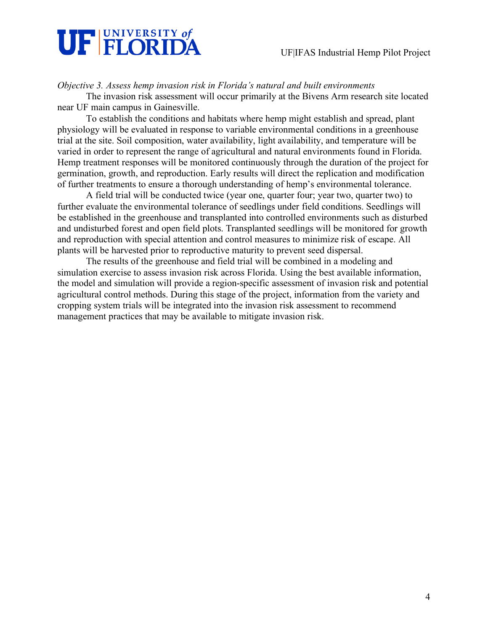

*Objective 3. Assess hemp invasion risk in Florida's natural and built environments*

The invasion risk assessment will occur primarily at the Bivens Arm research site located near UF main campus in Gainesville.

To establish the conditions and habitats where hemp might establish and spread, plant physiology will be evaluated in response to variable environmental conditions in a greenhouse trial at the site. Soil composition, water availability, light availability, and temperature will be varied in order to represent the range of agricultural and natural environments found in Florida. Hemp treatment responses will be monitored continuously through the duration of the project for germination, growth, and reproduction. Early results will direct the replication and modification of further treatments to ensure a thorough understanding of hemp's environmental tolerance.

A field trial will be conducted twice (year one, quarter four; year two, quarter two) to further evaluate the environmental tolerance of seedlings under field conditions. Seedlings will be established in the greenhouse and transplanted into controlled environments such as disturbed and undisturbed forest and open field plots. Transplanted seedlings will be monitored for growth and reproduction with special attention and control measures to minimize risk of escape. All plants will be harvested prior to reproductive maturity to prevent seed dispersal.

The results of the greenhouse and field trial will be combined in a modeling and simulation exercise to assess invasion risk across Florida. Using the best available information, the model and simulation will provide a region-specific assessment of invasion risk and potential agricultural control methods. During this stage of the project, information from the variety and cropping system trials will be integrated into the invasion risk assessment to recommend management practices that may be available to mitigate invasion risk.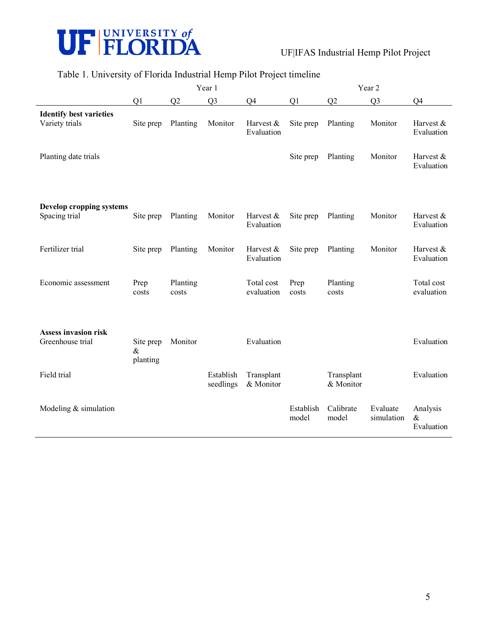

## UF|IFAS Industrial Hemp Pilot Project

# Table 1. University of Florida Industrial Hemp Pilot Project timeline

|                                                  | Year 1                        |                   |                        |                          | Year 2             |                         |                        |                                |
|--------------------------------------------------|-------------------------------|-------------------|------------------------|--------------------------|--------------------|-------------------------|------------------------|--------------------------------|
|                                                  | Q1                            | Q2                | Q <sub>3</sub>         | Q4                       | Q1                 | Q2                      | Q <sub>3</sub>         | Q4                             |
| <b>Identify best varieties</b><br>Variety trials | Site prep                     | Planting          | Monitor                | Harvest &<br>Evaluation  | Site prep          | Planting                | Monitor                | Harvest &<br>Evaluation        |
| Planting date trials                             |                               |                   |                        |                          | Site prep          | Planting                | Monitor                | Harvest &<br>Evaluation        |
| Develop cropping systems<br>Spacing trial        | Site prep                     | Planting          | Monitor                | Harvest &<br>Evaluation  | Site prep          | Planting                | Monitor                | Harvest &<br>Evaluation        |
| Fertilizer trial                                 | Site prep                     | Planting          | Monitor                | Harvest &<br>Evaluation  | Site prep          | Planting                | Monitor                | Harvest $&$<br>Evaluation      |
| Economic assessment                              | Prep<br>costs                 | Planting<br>costs |                        | Total cost<br>evaluation | Prep<br>costs      | Planting<br>costs       |                        | Total cost<br>evaluation       |
| <b>Assess invasion risk</b><br>Greenhouse trial  | Site prep<br>$\&$<br>planting | Monitor           |                        | Evaluation               |                    |                         |                        | Evaluation                     |
| Field trial                                      |                               |                   | Establish<br>seedlings | Transplant<br>& Monitor  |                    | Transplant<br>& Monitor |                        | Evaluation                     |
| Modeling $&$ simulation                          |                               |                   |                        |                          | Establish<br>model | Calibrate<br>model      | Evaluate<br>simulation | Analysis<br>$\&$<br>Evaluation |